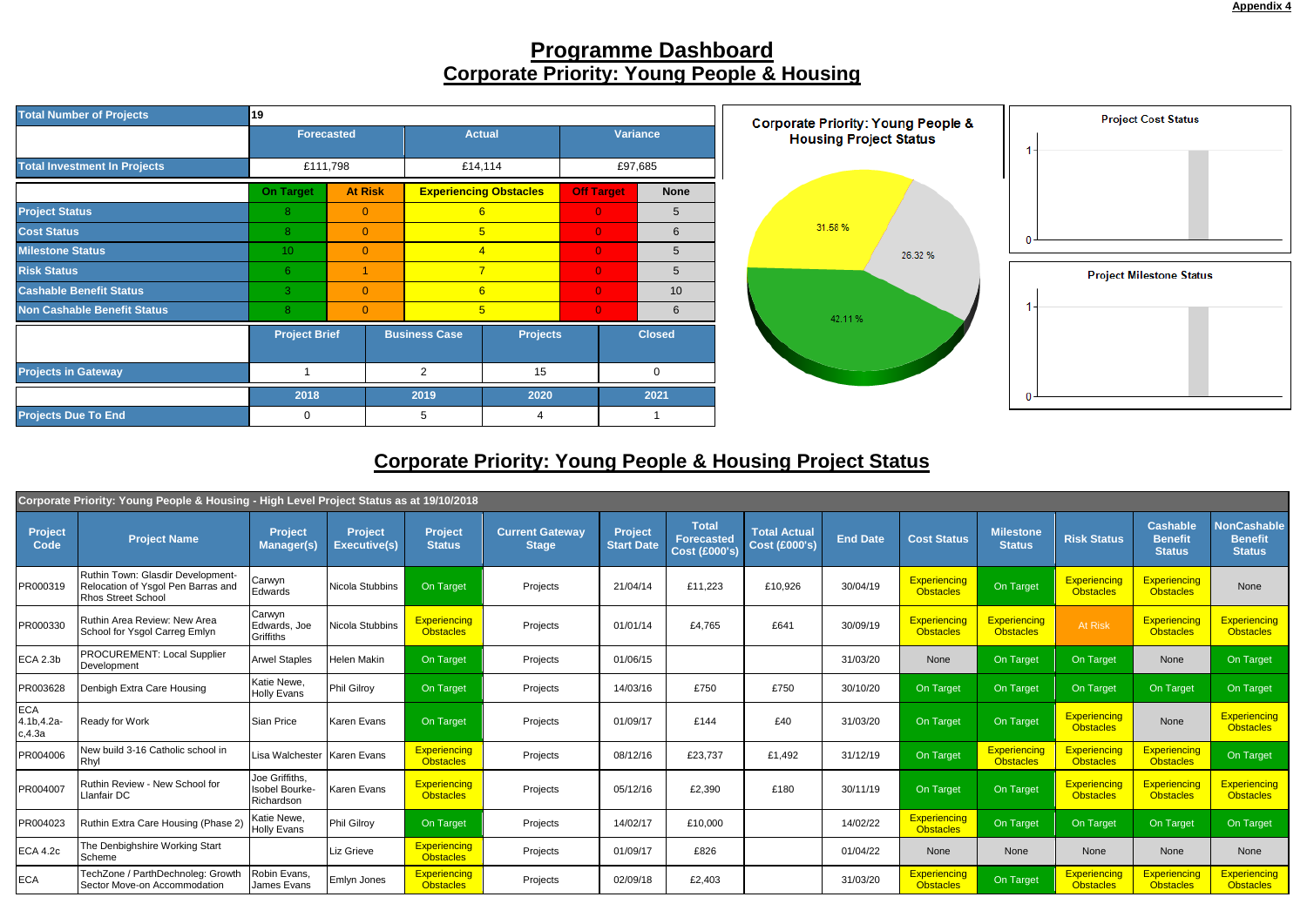

## **Programme Dashboard Corporate Priority: Young People & Housing**



## **Corporate Priority: Young People & Housing Project Status**

| Corporate Priority: Young People & Housing - High Level Project Status as at 19/10/2018 |                                                                                               |                                                |                                       |                                         |                                        |                                     |                                                           |                                             |                 |                                  |                                         |                                         |                                                    |                                                       |
|-----------------------------------------------------------------------------------------|-----------------------------------------------------------------------------------------------|------------------------------------------------|---------------------------------------|-----------------------------------------|----------------------------------------|-------------------------------------|-----------------------------------------------------------|---------------------------------------------|-----------------|----------------------------------|-----------------------------------------|-----------------------------------------|----------------------------------------------------|-------------------------------------------------------|
| <b>Project</b><br><b>Code</b>                                                           | <b>Project Name</b>                                                                           | Project<br><b>Manager(s)</b>                   | <b>Project</b><br><b>Executive(s)</b> | <b>Project</b><br><b>Status</b>         | <b>Current Gateway</b><br><b>Stage</b> | <b>Project</b><br><b>Start Date</b> | <b>Total</b><br><b>Forecasted</b><br><b>Cost (£000's)</b> | <b>Total Actual</b><br><b>Cost (£000's)</b> | <b>End Date</b> | <b>Cost Status</b>               | <b>Milestone</b><br><b>Status</b>       | <b>Risk Status</b>                      | <b>Cashable</b><br><b>Benefit</b><br><b>Status</b> | <b>NonCashable</b><br><b>Benefit</b><br><b>Status</b> |
| PR000319                                                                                | Ruthin Town: Glasdir Development-<br>Relocation of Ysgol Pen Barras and<br>Rhos Street School | Carwyn<br>Edwards                              | Nicola Stubbins                       | On Target                               | Projects                               | 21/04/14                            | £11,223                                                   | £10,926                                     | 30/04/19        | Experiencing<br><b>Obstacles</b> | On Target                               | <b>Experiencing</b><br><b>Obstacles</b> | Experiencing<br><b>Obstacles</b>                   | None                                                  |
| PR000330                                                                                | Ruthin Area Review: New Area<br>School for Ysgol Carreg Emlyn                                 | Carwyn<br>Edwards, Joe<br>Griffiths            | Nicola Stubbins                       | <b>Experiencing</b><br><b>Obstacles</b> | Projects                               | 01/01/14                            | £4,765                                                    | £641                                        | 30/09/19        | Experiencing<br><b>Obstacles</b> | Experiencing<br><b>Obstacles</b>        | At Risk                                 | Experiencing<br><b>Obstacles</b>                   | Experiencing<br><b>Obstacles</b>                      |
| <b>ECA 2.3b</b>                                                                         | <b>PROCUREMENT: Local Supplier</b><br>Development                                             | <b>Arwel Staples</b>                           | Helen Makin                           | On Target                               | Projects                               | 01/06/15                            |                                                           |                                             | 31/03/20        | None                             | On Target                               | On Target                               | None                                               | On Target                                             |
| PR003628                                                                                | Denbigh Extra Care Housing                                                                    | Katie Newe,<br><b>Holly Evans</b>              | Phil Gilroy                           | On Target                               | Projects                               | 14/03/16                            | £750                                                      | £750                                        | 30/10/20        | On Target                        | On Target                               | On Target                               | On Target                                          | On Target                                             |
| <b>ECA</b><br>4.1b, 4.2a-<br>c,4.3a                                                     | Ready for Work                                                                                | <b>Sian Price</b>                              | Karen Evans                           | On Target                               | Projects                               | 01/09/17                            | £144                                                      | £40                                         | 31/03/20        | On Target                        | On Target                               | <b>Experiencing</b><br><b>Obstacles</b> | None                                               | <b>Experiencing</b><br><b>Obstacles</b>               |
| PR004006                                                                                | New build 3-16 Catholic school in<br>Rhyl                                                     | Lisa Walchester Karen Evans                    |                                       | Experiencing<br><b>Obstacles</b>        | Projects                               | 08/12/16                            | £23,737                                                   | £1,492                                      | 31/12/19        | On Target                        | <b>Experiencing</b><br><b>Obstacles</b> | <b>Experiencing</b><br><b>Obstacles</b> | Experiencing<br><b>Obstacles</b>                   | On Target                                             |
| PR004007                                                                                | Ruthin Review - New School for<br>Llanfair DC                                                 | Joe Griffiths,<br>Isobel Bourke-<br>Richardson | <b>Karen Evans</b>                    | <b>Experiencing</b><br><b>Obstacles</b> | Projects                               | 05/12/16                            | £2,390                                                    | £180                                        | 30/11/19        | On Target                        | On Target                               | <b>Experiencing</b><br><b>Obstacles</b> | Experiencing<br><b>Obstacles</b>                   | Experiencing<br><b>Obstacles</b>                      |
| PR004023                                                                                | Ruthin Extra Care Housing (Phase 2)                                                           | Katie Newe.<br><b>Holly Evans</b>              | Phil Gilroy                           | On Target                               | Projects                               | 14/02/17                            | £10,000                                                   |                                             | 14/02/22        | Experiencing<br><b>Obstacles</b> | On Target                               | On Target                               | On Target                                          | On Target                                             |
| <b>ECA 4.2c</b>                                                                         | The Denbighshire Working Start<br>Scheme                                                      |                                                | Liz Grieve                            | <b>Experiencing</b><br><b>Obstacles</b> | Projects                               | 01/09/17                            | £826                                                      |                                             | 01/04/22        | None                             | None                                    | None                                    | None                                               | None                                                  |
| <b>ECA</b>                                                                              | TechZone / ParthDechnoleg: Growth<br>Sector Move-on Accommodation                             | Robin Evans,<br>James Evans                    | <b>Emlyn Jones</b>                    | <b>Experiencing</b><br><b>Obstacles</b> | Projects                               | 02/09/18                            | £2,403                                                    |                                             | 31/03/20        | Experiencing<br><b>Obstacles</b> | On Target                               | Experiencing<br><b>Obstacles</b>        | Experiencing<br><b>Obstacles</b>                   | <b>Experiencing</b><br><b>Obstacles</b>               |